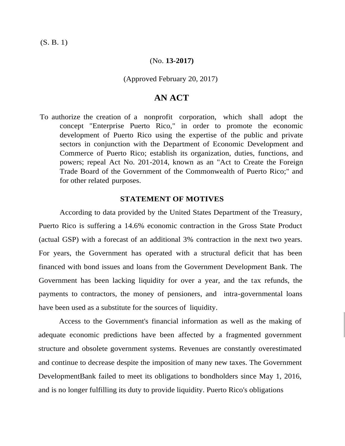(S. B. 1)

### (No. **13-2017)**

## (Approved February 20, 2017)

# **AN ACT**

To authorize the creation of a nonprofit corporation, which shall adopt the concept "Enterprise Puerto Rico," in order to promote the economic development of Puerto Rico using the expertise of the public and private sectors in conjunction with the Department of Economic Development and Commerce of Puerto Rico; establish its organization, duties, functions, and powers; repeal Act No. 201-2014, known as an "Act to Create the Foreign Trade Board of the Government of the Commonwealth of Puerto Rico;" and for other related purposes.

# **STATEMENT OF MOTIVES**

According to data provided by the United States Department of the Treasury, Puerto Rico is suffering a 14.6% economic contraction in the Gross State Product (actual GSP) with a forecast of an additional 3% contraction in the next two years. For years, the Government has operated with a structural deficit that has been financed with bond issues and loans from the Government Development Bank. The Government has been lacking liquidity for over a year, and the tax refunds, the payments to contractors, the money of pensioners, and intra-governmental loans have been used as a substitute for the sources of liquidity.

Access to the Government's financial information as well as the making of adequate economic predictions have been affected by a fragmented government structure and obsolete government systems. Revenues are constantly overestimated and continue to decrease despite the imposition of many new taxes. The Government DevelopmentBank failed to meet its obligations to bondholders since May 1, 2016, and is no longer fulfilling its duty to provide liquidity. Puerto Rico's obligations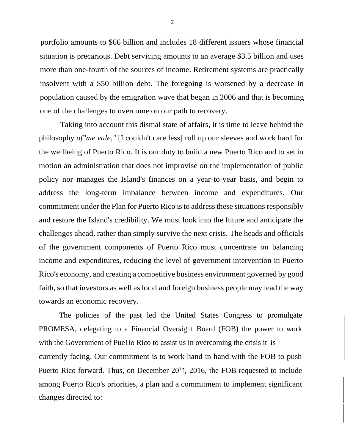portfolio amounts to \$66 billion and includes 18 different issuers whose financial situation is precarious. Debt servicing amounts to an average \$3.5 billion and uses more than one-fourth of the sources of income. Retirement systems are practically insolvent with a \$50 billion debt. The foregoing is worsened by a decrease in population caused by the emigration wave that began in 2006 and that is becoming one of the challenges to overcome on our path to recovery.

Taking into account this dismal state of affairs, it is time to leave behind the philosophy *of"me vale,"* [I couldn't care less] roll up our sleeves and work hard for the wellbeing of Puerto Rico. It is our duty to build a new Puerto Rico and to set in motion an administration that does not improvise on the implementation of public policy nor manages the Island's finances on a year-to-year basis, and begin to address the long-term imbalance between income and expenditures. Our commitment under the Plan for Puerto Rico is to address these situations responsibly and restore the Island's credibility. We must look into the future and anticipate the challenges ahead, rather than simply survive the next crisis. The heads and officials of the government components of Puerto Rico must concentrate on balancing income and expenditures, reducing the level of government intervention in Puerto Rico's economy, and creating a competitive business environment governed by good faith, so that investors as well as local and foreign business people may lead the way towards an economic recovery.

The policies of the past led the United States Congress to promulgate PROMESA, delegating to a Financial Oversight Board (FOB) the power to work with the Government of Puelio Rico to assist us in overcoming the crisis it is currently facing. Our commitment is to work hand in hand with the FOB to push Puerto Rico forward. Thus, on December 20<sup>th</sup>, 2016, the FOB requested to include among Puerto Rico's priorities, a plan and a commitment to implement significant changes directed to: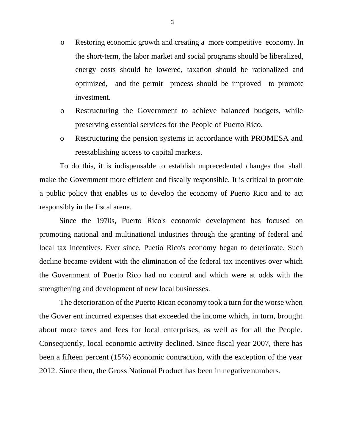- o Restoring economic growth and creating a more competitive economy. In the short-term, the labor market and social programs should be liberalized, energy costs should be lowered, taxation should be rationalized and optimized, and the permit process should be improved to promote investment.
- o Restructuring the Government to achieve balanced budgets, while preserving essential services for the People of Puerto Rico.
- o Restructuring the pension systems in accordance with PROMESA and reestablishing access to capital markets.

To do this, it is indispensable to establish unprecedented changes that shall make the Government more efficient and fiscally responsible. It is critical to promote a public policy that enables us to develop the economy of Puerto Rico and to act responsibly in the fiscal arena.

Since the 1970s, Puerto Rico's economic development has focused on promoting national and multinational industries through the granting of federal and local tax incentives. Ever since, Puetio Rico's economy began to deteriorate. Such decline became evident with the elimination of the federal tax incentives over which the Government of Puerto Rico had no control and which were at odds with the strengthening and development of new local businesses.

The deterioration of the Puerto Rican economy took a turn for the worse when the Gover ent incurred expenses that exceeded the income which, in turn, brought about more taxes and fees for local enterprises, as well as for all the People. Consequently, local economic activity declined. Since fiscal year 2007, there has been a fifteen percent (15%) economic contraction, with the exception of the year 2012. Since then, the Gross National Product has been in negative numbers.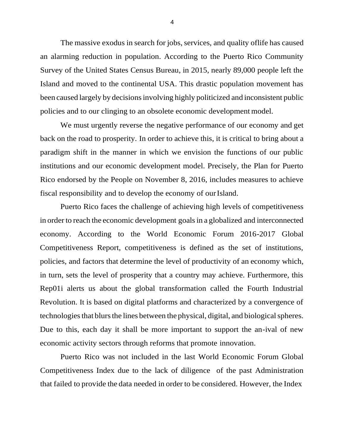The massive exodus in search for jobs, services, and quality of life has caused an alarming reduction in population. According to the Puerto Rico Community Survey of the United States Census Bureau, in 2015, nearly 89,000 people left the Island and moved to the continental USA. This drastic population movement has been caused largely by decisions involving highly politicized and inconsistent public policies and to our clinging to an obsolete economic development model.

We must urgently reverse the negative performance of our economy and get back on the road to prosperity. In order to achieve this, it is critical to bring about a paradigm shift in the manner in which we envision the functions of our public institutions and our economic development model. Precisely, the Plan for Puerto Rico endorsed by the People on November 8, 2016, includes measures to achieve fiscal responsibility and to develop the economy of our Island.

Puerto Rico faces the challenge of achieving high levels of competitiveness in order to reach the economic development goalsin a globalized and interconnected economy. According to the World Economic Forum 2016-2017 Global Competitiveness Report, competitiveness is defined as the set of institutions, policies, and factors that determine the level of productivity of an economy which, in turn, sets the level of prosperity that a country may achieve. Furthermore, this Rep01i alerts us about the global transformation called the Fourth Industrial Revolution. It is based on digital platforms and characterized by a convergence of technologies that blurs the lines between the physical, digital, and biological spheres. Due to this, each day it shall be more important to support the an-ival of new economic activity sectors through reforms that promote innovation.

Puerto Rico was not included in the last World Economic Forum Global Competitiveness Index due to the lack of diligence of the past Administration that failed to provide the data needed in order to be considered. However, the Index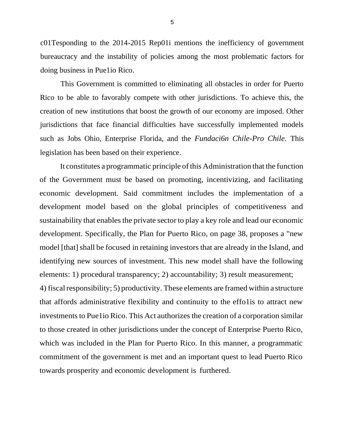c01Tesponding to the 2014-2015 Rep01i mentions the inefficiency of government bureaucracy and the instability of policies among the most problematic factors for doing business in Pue1io Rico.

This Government is committed to eliminating all obstacles in order for Puerto Rico to be able to favorably compete with other jurisdictions. To achieve this, the creation of new institutions that boost the growth of our economy are imposed. Other jurisdictions that face financial difficulties have successfully implemented models such as Jobs Ohio, Enterprise Florida, and the *Fundaci6n Chile-Pro Chile.* This legislation has been based on their experience.

It constitutes a programmatic principle of this Administration that the function of the Government must be based on promoting, incentivizing, and facilitating economic development. Said commitment includes the implementation of a development model based on the global principles of competitiveness and sustainability that enables the private sector to play a key role and lead our economic development. Specifically, the Plan for Puerto Rico, on page 38, proposes a "new model [that] shall be focused in retaining investors that are already in the Island, and identifying new sources of investment. This new model shall have the following elements: 1) procedural transparency; 2) accountability; 3) result measurement; 4) fiscal responsibility; 5) productivity. These elements are framed within a structure that affords administrative flexibility and continuity to the effo1is to attract new investments to Pue1io Rico. This Act authorizes the creation of a corporation similar to those created in other jurisdictions under the concept of Enterprise Puerto Rico, which was included in the Plan for Puerto Rico. In this manner, a programmatic commitment of the government is met and an important quest to lead Puerto Rico towards prosperity and economic development is furthered.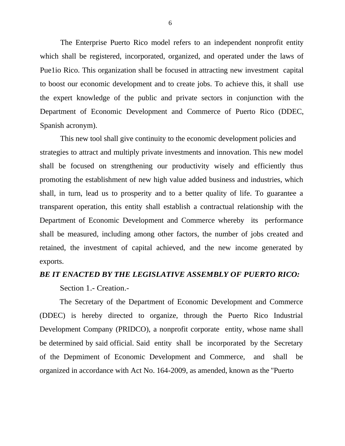The Enterprise Puerto Rico model refers to an independent nonprofit entity which shall be registered, incorporated, organized, and operated under the laws of Pue1io Rico. This organization shall be focused in attracting new investment capital to boost our economic development and to create jobs. To achieve this, it shall use the expert knowledge of the public and private sectors in conjunction with the Department of Economic Development and Commerce of Puerto Rico (DDEC, Spanish acronym).

This new tool shall give continuity to the economic development policies and strategies to attract and multiply private investments and innovation. This new model shall be focused on strengthening our productivity wisely and efficiently thus promoting the establishment of new high value added business and industries, which shall, in turn, lead us to prosperity and to a better quality of life. To guarantee a transparent operation, this entity shall establish a contractual relationship with the Department of Economic Development and Commerce whereby its performance shall be measured, including among other factors, the number of jobs created and retained, the investment of capital achieved, and the new income generated by exports.

#### *BE IT ENACTED BY THE LEGISLATIVE ASSEMBLY OF PUERTO RICO:*

Section 1.- Creation.-

The Secretary of the Department of Economic Development and Commerce (DDEC) is hereby directed to organize, through the Puerto Rico Industrial Development Company (PRIDCO), a nonprofit corporate entity, whose name shall be determined by said official. Said entity shall be incorporated by the Secretary of the Depmiment of Economic Development and Commerce, and shall be organized in accordance with Act No. 164-2009, as amended, known as the "Puerto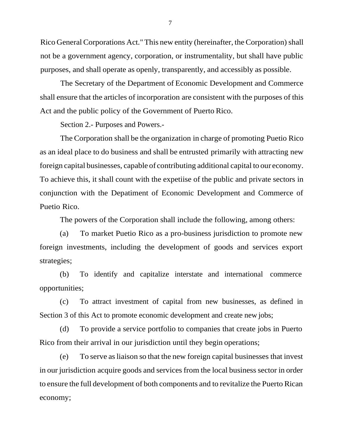Rico General Corporations Act." This new entity (hereinafter, the Corporation) shall not be a government agency, corporation, or instrumentality, but shall have public purposes, and shall operate as openly, transparently, and accessibly as possible.

The Secretary of the Department of Economic Development and Commerce shall ensure that the articles of incorporation are consistent with the purposes of this Act and the public policy of the Government of Puerto Rico.

Section 2.- Purposes and Powers.-

The Corporation shall be the organization in charge of promoting Puetio Rico as an ideal place to do business and shall be entrusted primarily with attracting new foreign capital businesses, capable of contributing additional capital to our economy. To achieve this, it shall count with the expetiise of the public and private sectors in conjunction with the Depatiment of Economic Development and Commerce of Puetio Rico.

The powers of the Corporation shall include the following, among others:

(a) To market Puetio Rico as a pro-business jurisdiction to promote new foreign investments, including the development of goods and services export strategies;

(b) To identify and capitalize interstate and international commerce opportunities;

(c) To attract investment of capital from new businesses, as defined in Section 3 of this Act to promote economic development and create new jobs;

(d) To provide a service portfolio to companies that create jobs in Puerto Rico from their arrival in our jurisdiction until they begin operations;

(e) To serve asliaison so that the new foreign capital businesses that invest in our jurisdiction acquire goods and services from the local business sector in order to ensure the full development of both components and to revitalize the Puerto Rican economy;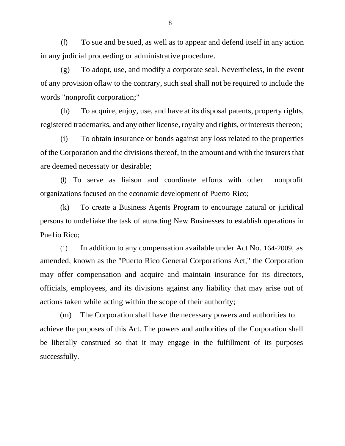(f) To sue and be sued, as well as to appear and defend itself in any action in any judicial proceeding or administrative procedure.

(g) To adopt, use, and modify a corporate seal. Nevertheless, in the event of any provision oflaw to the contrary, such seal shall not be required to include the words "nonprofit corporation;"

(h) To acquire, enjoy, use, and have at its disposal patents, property rights, registered trademarks, and any other license, royalty and rights, or interests thereon;

(i) To obtain insurance or bonds against any loss related to the properties of the Corporation and the divisions thereof, in the amount and with the insurers that are deemed necessaty or desirable;

(i) To serve as liaison and coordinate efforts with other nonprofit organizations focused on the economic development of Puerto Rico;

(k) To create a Business Agents Program to encourage natural or juridical persons to unde1iake the task of attracting New Businesses to establish operations in Pue1io Rico;

(1) In addition to any compensation available under Act No. 164-2009, as amended, known as the "Puerto Rico General Corporations Act," the Corporation may offer compensation and acquire and maintain insurance for its directors, officials, employees, and its divisions against any liability that may arise out of actions taken while acting within the scope of their authority;

(m) The Corporation shall have the necessary powers and authorities to achieve the purposes of this Act. The powers and authorities of the Corporation shall be liberally construed so that it may engage in the fulfillment of its purposes successfully.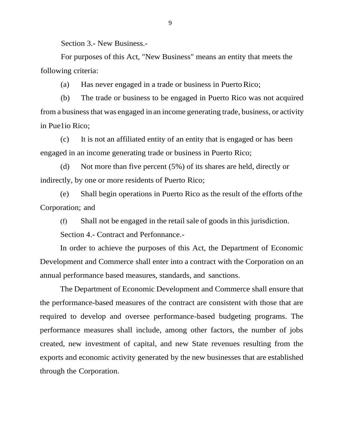Section 3.- New Business.-

For purposes of this Act, "New Business" means an entity that meets the following criteria:

(a) Has never engaged in a trade or business in Puerto Rico;

(b) The trade or business to be engaged in Puerto Rico was not acquired from a business that was engaged in an income generating trade, business, or activity in Pue1io Rico;

(c) It is not an affiliated entity of an entity that is engaged or has been engaged in an income generating trade or business in Puerto Rico;

(d) Not more than five percent (5%) of its shares are held, directly or indirectly, by one or more residents of Puerto Rico;

(e) Shall begin operations in Puerto Rico as the result of the efforts ofthe Corporation; and

(f) Shall not be engaged in the retail sale of goods in this jurisdiction.

Section 4.- Contract and Perfonnance.-

In order to achieve the purposes of this Act, the Department of Economic Development and Commerce shall enter into a contract with the Corporation on an annual performance based measures, standards, and sanctions.

The Department of Economic Development and Commerce shall ensure that the performance-based measures of the contract are consistent with those that are required to develop and oversee performance-based budgeting programs. The performance measures shall include, among other factors, the number of jobs created, new investment of capital, and new State revenues resulting from the exports and economic activity generated by the new businesses that are established through the Corporation.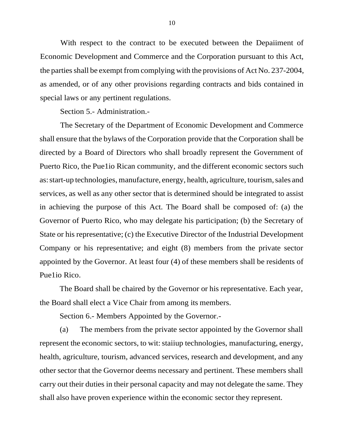With respect to the contract to be executed between the Depaiiment of Economic Development and Commerce and the Corporation pursuant to this Act, the parties shall be exempt from complying with the provisions of Act No. 237-2004, as amended, or of any other provisions regarding contracts and bids contained in special laws or any pertinent regulations.

Section 5.- Administration.-

The Secretary of the Department of Economic Development and Commerce shall ensure that the bylaws of the Corporation provide that the Corporation shall be directed by a Board of Directors who shall broadly represent the Government of Puerto Rico, the Pue1io Rican community, and the different economic sectors such as:start-up technologies, manufacture, energy, health, agriculture, tourism,sales and services, as well as any other sector that is determined should be integrated to assist in achieving the purpose of this Act. The Board shall be composed of: (a) the Governor of Puerto Rico, who may delegate his participation; (b) the Secretary of State or his representative; (c) the Executive Director of the Industrial Development Company or his representative; and eight (8) members from the private sector appointed by the Governor. At least four (4) of these members shall be residents of Pue1io Rico.

The Board shall be chaired by the Governor or his representative. Each year, the Board shall elect a Vice Chair from among its members.

Section 6.- Members Appointed by the Governor.-

(a) The members from the private sector appointed by the Governor shall represent the economic sectors, to wit: staiiup technologies, manufacturing, energy, health, agriculture, tourism, advanced services, research and development, and any other sector that the Governor deems necessary and pertinent. These members shall carry out their duties in their personal capacity and may not delegate the same. They shall also have proven experience within the economic sector they represent.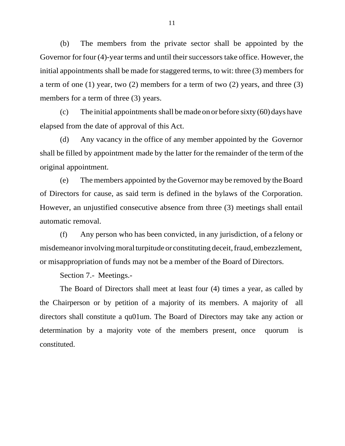(b) The members from the private sector shall be appointed by the Governor for four (4)-year terms and until their successors take office. However, the initial appointments shall be made for staggered terms, to wit: three (3) members for a term of one (1) year, two (2) members for a term of two (2) years, and three (3) members for a term of three (3) years.

(c) The initial appointments shall be made on or before sixty  $(60)$  days have elapsed from the date of approval of this Act.

(d) Any vacancy in the office of any member appointed by the Governor shall be filled by appointment made by the latter for the remainder of the term of the original appointment.

(e) The members appointed by theGovernor may be removed by theBoard of Directors for cause, as said term is defined in the bylaws of the Corporation. However, an unjustified consecutive absence from three (3) meetings shall entail automatic removal.

(f) Any person who has been convicted, in any jurisdiction, of a felony or misdemeanor involving moral turpitude or constituting deceit, fraud, embezzlement, or misappropriation of funds may not be a member of the Board of Directors.

Section 7.- Meetings.-

The Board of Directors shall meet at least four (4) times a year, as called by the Chairperson or by petition of a majority of its members. A majority of all directors shall constitute a qu01um. The Board of Directors may take any action or determination by a majority vote of the members present, once quorum is constituted.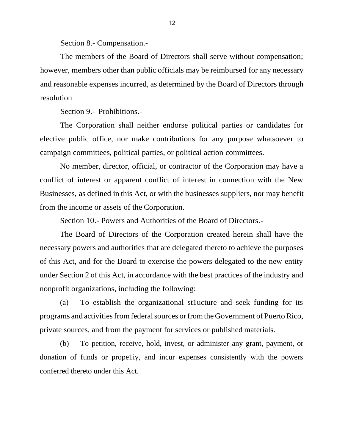Section 8.- Compensation.-

The members of the Board of Directors shall serve without compensation; however, members other than public officials may be reimbursed for any necessary and reasonable expenses incurred, as determined by the Board of Directors through resolution

Section 9.- Prohibitions.-

The Corporation shall neither endorse political parties or candidates for elective public office, nor make contributions for any purpose whatsoever to campaign committees, political parties, or political action committees.

No member, director, official, or contractor of the Corporation may have a conflict of interest or apparent conflict of interest in connection with the New Businesses, as defined in this Act, or with the businesses suppliers, nor may benefit from the income or assets of the Corporation.

Section 10.- Powers and Authorities of the Board of Directors.-

The Board of Directors of the Corporation created herein shall have the necessary powers and authorities that are delegated thereto to achieve the purposes of this Act, and for the Board to exercise the powers delegated to the new entity under Section 2 of this Act, in accordance with the best practices of the industry and nonprofit organizations, including the following:

(a) To establish the organizational st1ucture and seek funding for its programs and activities from federal sources or from the Government of Puerto Rico, private sources, and from the payment for services or published materials.

(b) To petition, receive, hold, invest, or administer any grant, payment, or donation of funds or prope1iy, and incur expenses consistently with the powers conferred thereto under this Act.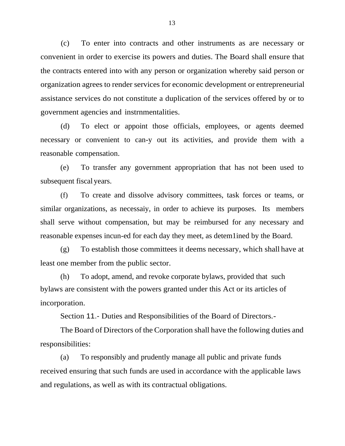(c) To enter into contracts and other instruments as are necessary or convenient in order to exercise its powers and duties. The Board shall ensure that the contracts entered into with any person or organization whereby said person or organization agrees to render services for economic development or entrepreneurial assistance services do not constitute a duplication of the services offered by or to government agencies and instrnmentalities.

(d) To elect or appoint those officials, employees, or agents deemed necessary or convenient to can-y out its activities, and provide them with a reasonable compensation.

(e) To transfer any government appropriation that has not been used to subsequent fiscal years.

(f) To create and dissolve advisory committees, task forces or teams, or similar organizations, as necessaiy, in order to achieve its purposes. Its members shall serve without compensation, but may be reimbursed for any necessary and reasonable expenses incun-ed for each day they meet, as detem1ined by the Board.

(g) To establish those committees it deems necessary, which shall have at least one member from the public sector.

(h) To adopt, amend, and revoke corporate bylaws, provided that such bylaws are consistent with the powers granted under this Act or its articles of incorporation.

Section 11.- Duties and Responsibilities of the Board of Directors.-

The Board of Directors of the Corporation shall have the following duties and responsibilities:

(a) To responsibly and prudently manage all public and private funds received ensuring that such funds are used in accordance with the applicable laws and regulations, as well as with its contractual obligations.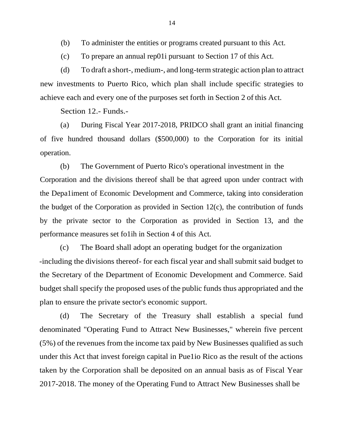(b) To administer the entities or programs created pursuant to this Act.

(c) To prepare an annual rep01i pursuant to Section 17 of this Act.

(d) To draft a short-, medium-, and long-term strategic action plan to attract new investments to Puerto Rico, which plan shall include specific strategies to achieve each and every one of the purposes set forth in Section 2 of this Act.

Section 12.- Funds.-

(a) During Fiscal Year 2017-2018, PRIDCO shall grant an initial financing of five hundred thousand dollars (\$500,000) to the Corporation for its initial operation.

(b) The Government of Puerto Rico's operational investment in the Corporation and the divisions thereof shall be that agreed upon under contract with the Depa1iment of Economic Development and Commerce, taking into consideration the budget of the Corporation as provided in Section 12(c), the contribution of funds by the private sector to the Corporation as provided in Section 13, and the performance measures set fo1ih in Section 4 of this Act.

(c) The Board shall adopt an operating budget for the organization -including the divisions thereof- for each fiscal year and shall submit said budget to the Secretary of the Department of Economic Development and Commerce. Said budget shall specify the proposed uses of the public funds thus appropriated and the plan to ensure the private sector's economic support.

(d) The Secretary of the Treasury shall establish a special fund denominated "Operating Fund to Attract New Businesses," wherein five percent  $(5\%)$  of the revenues from the income tax paid by New Businesses qualified as such under this Act that invest foreign capital in Pue1io Rico as the result of the actions taken by the Corporation shall be deposited on an annual basis as of Fiscal Year 2017-2018. The money of the Operating Fund to Attract New Businesses shall be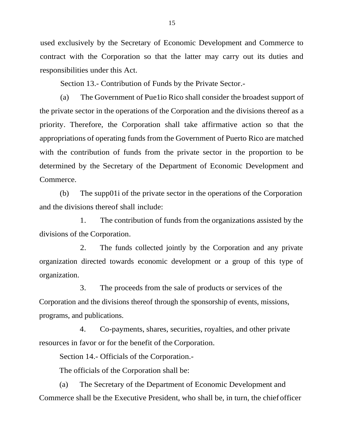used exclusively by the Secretary of Economic Development and Commerce to contract with the Corporation so that the latter may carry out its duties and responsibilities under this Act.

Section 13.- Contribution of Funds by the Private Sector.-

(a) The Government of Pue1io Rico shall consider the broadest support of the private sector in the operations of the Corporation and the divisions thereof as a priority. Therefore, the Corporation shall take affirmative action so that the appropriations of operating funds from the Government of Puerto Rico are matched with the contribution of funds from the private sector in the proportion to be determined by the Secretary of the Department of Economic Development and Commerce.

(b) The supp01i of the private sector in the operations of the Corporation and the divisions thereof shall include:

1. The contribution of funds from the organizations assisted by the divisions of the Corporation.

2. The funds collected jointly by the Corporation and any private organization directed towards economic development or a group of this type of organization.

3. The proceeds from the sale of products or services of the Corporation and the divisions thereof through the sponsorship of events, missions, programs, and publications.

4. Co-payments, shares, securities, royalties, and other private resources in favor or for the benefit of the Corporation.

Section 14.- Officials of the Corporation.-

The officials of the Corporation shall be:

(a) The Secretary of the Department of Economic Development and Commerce shall be the Executive President, who shall be, in turn, the chief officer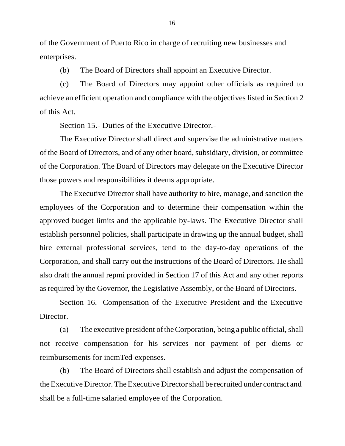of the Government of Puerto Rico in charge of recruiting new businesses and enterprises.

(b) The Board of Directors shall appoint an Executive Director.

(c) The Board of Directors may appoint other officials as required to achieve an efficient operation and compliance with the objectives listed in Section 2 of this Act.

Section 15.- Duties of the Executive Director.-

The Executive Director shall direct and supervise the administrative matters of the Board of Directors, and of any other board, subsidiary, division, or committee of the Corporation. The Board of Directors may delegate on the Executive Director those powers and responsibilities it deems appropriate.

The Executive Director shall have authority to hire, manage, and sanction the employees of the Corporation and to determine their compensation within the approved budget limits and the applicable by-laws. The Executive Director shall establish personnel policies, shall participate in drawing up the annual budget, shall hire external professional services, tend to the day-to-day operations of the Corporation, and shall carry out the instructions of the Board of Directors. He shall also draft the annual repmi provided in Section 17 of this Act and any other reports asrequired by the Governor, the Legislative Assembly, or the Board of Directors.

Section 16.- Compensation of the Executive President and the Executive Director.-

(a) The executive president of the Corporation, being a public official, shall not receive compensation for his services nor payment of per diems or reimbursements for incmTed expenses.

(b) The Board of Directors shall establish and adjust the compensation of theExecutive Director. TheExecutive Directorshall be recruited under contract and shall be a full-time salaried employee of the Corporation.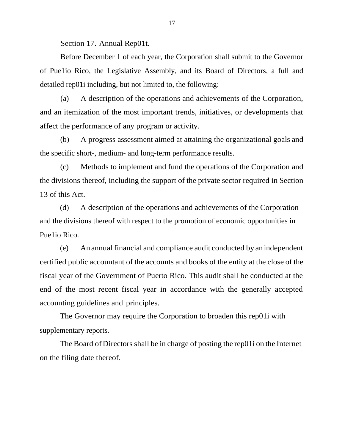Section 17.-Annual Rep01t.-

Before December 1 of each year, the Corporation shall submit to the Governor of Pue1io Rico, the Legislative Assembly, and its Board of Directors, a full and detailed rep01i including, but not limited to, the following:

(a) A description of the operations and achievements of the Corporation, and an itemization of the most important trends, initiatives, or developments that affect the performance of any program or activity.

(b) A progress assessment aimed at attaining the organizational goals and the specific short-, medium- and long-term performance results.

(c) Methods to implement and fund the operations of the Corporation and the divisions thereof, including the support of the private sector required in Section 13 of this Act.

(d) A description of the operations and achievements of the Corporation and the divisions thereof with respect to the promotion of economic opportunities in Pue1io Rico.

(e) An annual financial and compliance audit conducted by an independent certified public accountant of the accounts and books of the entity at the close of the fiscal year of the Government of Puerto Rico. This audit shall be conducted at the end of the most recent fiscal year in accordance with the generally accepted accounting guidelines and principles.

The Governor may require the Corporation to broaden this rep01i with supplementary reports.

The Board of Directors shall be in charge of posting the rep01i on the Internet on the filing date thereof.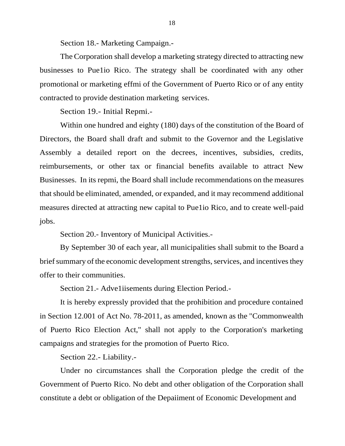Section 18.- Marketing Campaign.-

The Corporation shall develop a marketing strategy directed to attracting new businesses to Pue1io Rico. The strategy shall be coordinated with any other promotional or marketing effmi of the Government of Puerto Rico or of any entity contracted to provide destination marketing services.

Section 19.- Initial Repmi.-

Within one hundred and eighty (180) days of the constitution of the Board of Directors, the Board shall draft and submit to the Governor and the Legislative Assembly a detailed report on the decrees, incentives, subsidies, credits, reimbursements, or other tax or financial benefits available to attract New Businesses. In its repmi, the Board shall include recommendations on the measures that should be eliminated, amended, or expanded, and it may recommend additional measures directed at attracting new capital to Pue1io Rico, and to create well-paid jobs.

Section 20.- Inventory of Municipal Activities.-

By September 30 of each year, all municipalities shall submit to the Board a brief summary of the economic development strengths, services, and incentives they offer to their communities.

Section 21.- Adve1iisements during Election Period.-

It is hereby expressly provided that the prohibition and procedure contained in Section 12.001 of Act No. 78-2011, as amended, known as the "Commonwealth of Puerto Rico Election Act," shall not apply to the Corporation's marketing campaigns and strategies for the promotion of Puerto Rico.

Section 22.- Liability.-

Under no circumstances shall the Corporation pledge the credit of the Government of Puerto Rico. No debt and other obligation of the Corporation shall constitute a debt or obligation of the Depaiiment of Economic Development and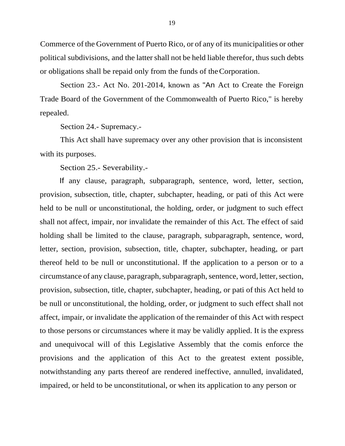Commerce of the Government of Puerto Rico, or of any of its municipalities or other political subdivisions, and the latter shall not be held liable therefor, thus such debts or obligations shall be repaid only from the funds of theCorporation.

Section 23.- Act No. 201-2014, known as "An Act to Create the Foreign Trade Board of the Government of the Commonwealth of Puerto Rico," is hereby repealed.

Section 24.- Supremacy.-

This Act shall have supremacy over any other provision that is inconsistent with its purposes.

Section 25.- Severability.-

If any clause, paragraph, subparagraph, sentence, word, letter, section, provision, subsection, title, chapter, subchapter, heading, or pati of this Act were held to be null or unconstitutional, the holding, order, or judgment to such effect shall not affect, impair, nor invalidate the remainder of this Act. The effect of said holding shall be limited to the clause, paragraph, subparagraph, sentence, word, letter, section, provision, subsection, title, chapter, subchapter, heading, or part thereof held to be null or unconstitutional. If the application to a person or to a circumstance of any clause, paragraph, subparagraph, sentence, word, letter, section, provision, subsection, title, chapter, subchapter, heading, or pati of this Act held to be null or unconstitutional, the holding, order, or judgment to such effect shall not affect, impair, or invalidate the application of the remainder of this Act with respect to those persons or circumstances where it may be validly applied. It is the express and unequivocal will of this Legislative Assembly that the comis enforce the provisions and the application of this Act to the greatest extent possible, notwithstanding any parts thereof are rendered ineffective, annulled, invalidated, impaired, or held to be unconstitutional, or when its application to any person or